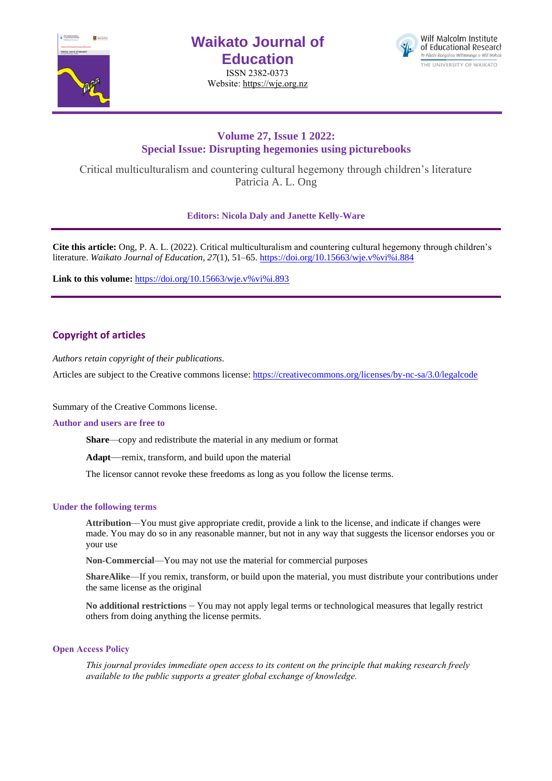

# **Waikato Journal of Education**

ISSN 2382-0373 Website[: https://wje.org.nz](https://wje.org.nz/)



# **Volume 27, Issue 1 2022: Special Issue: Disrupting hegemonies using picturebooks**

Critical multiculturalism and countering cultural hegemony through children's literature Patricia A. L. Ong

**Editors: Nicola Daly and Janette Kelly-Ware**

**Cite this article:** Ong, P. A. L. (2022). Critical multiculturalism and countering cultural hegemony through children's literature. *Waikato Journal of Education, 27*(1), 51–65. [https://doi.org/10.15663/wje.v%vi%i.884](https://doi.org/10.15663/wje.v%25vi%25i.884) 

Link to this volume: [https://doi.org/10.15663/wje.v%vi%i.893](https://doi.org/10.15663/wje.v%25vi%25i.893)

# **Copyright of articles**

*Authors retain copyright of their publications.*

Articles are subject to the Creative commons license: https://creativecommons.org/licenses/by-nc-sa/3.0/legalcode

Summary of the Creative Commons license.

#### **Author and users are free to**

**Share**—copy and redistribute the material in any medium or format

**Adapt**—remix, transform, and build upon the material

The licensor cannot revoke these freedoms as long as you follow the license terms.

#### **Under the following terms**

**Attribution**—You must give appropriate credit, provide a link to the license, and indicate if changes were made. You may do so in any reasonable manner, but not in any way that suggests the licensor endorses you or your use

**Non-Commercial**—You may not use the material for commercial purposes

**ShareAlike**—If you remix, transform, or build upon the material, you must distribute your contributions under the same license as the original

**No additional restrictions** – You may not apply legal terms or technological measures that legally restrict others from doing anything the license permits.

#### **Open Access Policy**

*This journal provides immediate open access to its content on the principle that making research freely available to the public supports a greater global exchange of knowledge.*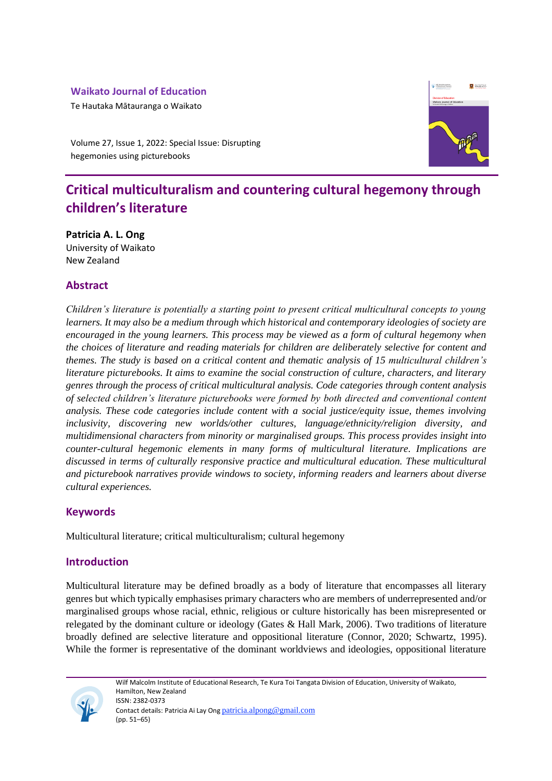# **Waikato Journal of Education**

Te Hautaka Mātauranga o Waikato



Volume 27, Issue 1, 2022: Special Issue: Disrupting hegemonies using picturebooks

# **Critical multiculturalism and countering cultural hegemony through children's literature**

**Patricia A. L. Ong** University of Waikato New Zealand

# **Abstract**

*Children's literature is potentially a starting point to present critical multicultural concepts to young learners. It may also be a medium through which historical and contemporary ideologies of society are encouraged in the young learners. This process may be viewed as a form of cultural hegemony when the choices of literature and reading materials for children are deliberately selective for content and themes. The study is based on a critical content and thematic analysis of 15 multicultural children's literature picturebooks. It aims to examine the social construction of culture, characters, and literary genres through the process of critical multicultural analysis. Code categories through content analysis of selected children's literature picturebooks were formed by both directed and conventional content analysis. These code categories include content with a social justice/equity issue, themes involving inclusivity, discovering new worlds/other cultures, language/ethnicity/religion diversity, and multidimensional characters from minority or marginalised groups. This process provides insight into counter-cultural hegemonic elements in many forms of multicultural literature. Implications are discussed in terms of culturally responsive practice and multicultural education. These multicultural and picturebook narratives provide windows to society, informing readers and learners about diverse cultural experiences.*

# **Keywords**

Multicultural literature; critical multiculturalism; cultural hegemony

# **Introduction**

Multicultural literature may be defined broadly as a body of literature that encompasses all literary genres but which typically emphasises primary characters who are members of underrepresented and/or marginalised groups whose racial, ethnic, religious or culture historically has been misrepresented or relegated by the dominant culture or ideology (Gates & Hall Mark, 2006). Two traditions of literature broadly defined are selective literature and oppositional literature (Connor, 2020; Schwartz, 1995). While the former is representative of the dominant worldviews and ideologies, oppositional literature

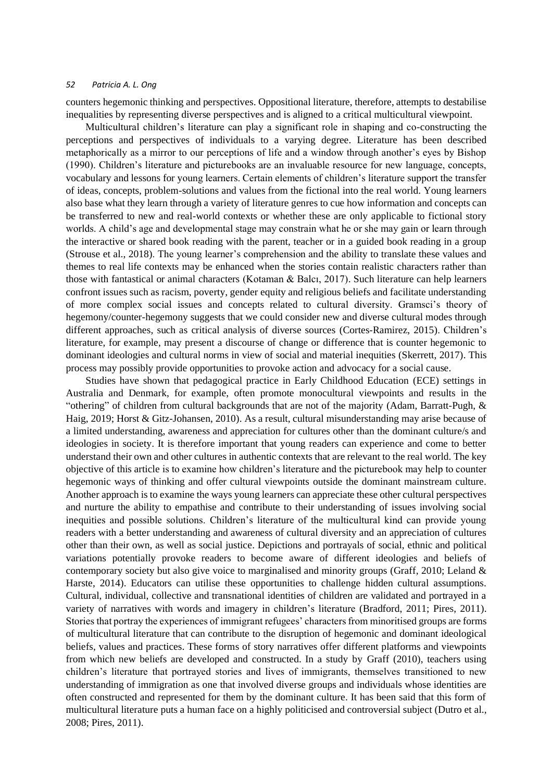counters hegemonic thinking and perspectives. Oppositional literature, therefore, attempts to destabilise inequalities by representing diverse perspectives and is aligned to a critical multicultural viewpoint.

Multicultural children's literature can play a significant role in shaping and co-constructing the perceptions and perspectives of individuals to a varying degree. Literature has been described metaphorically as a mirror to our perceptions of life and a window through another's eyes by Bishop (1990). Children's literature and picturebooks are an invaluable resource for new language, concepts, vocabulary and lessons for young learners. Certain elements of children's literature support the transfer of ideas, concepts, problem-solutions and values from the fictional into the real world. Young learners also base what they learn through a variety of literature genres to cue how information and concepts can be transferred to new and real-world contexts or whether these are only applicable to fictional story worlds. A child's age and developmental stage may constrain what he or she may gain or learn through the interactive or shared book reading with the parent, teacher or in a guided book reading in a group (Strouse et al., 2018). The young learner's comprehension and the ability to translate these values and themes to real life contexts may be enhanced when the stories contain realistic characters rather than those with fantastical or animal characters (Kotaman & Balcı, 2017). Such literature can help learners confront issues such as racism, poverty, gender equity and religious beliefs and facilitate understanding of more complex social issues and concepts related to cultural diversity. Gramsci's theory of hegemony/counter-hegemony suggests that we could consider new and diverse cultural modes through different approaches, such as critical analysis of diverse sources (Cortes-Ramirez, 2015). Children's literature, for example, may present a discourse of change or difference that is counter hegemonic to dominant ideologies and cultural norms in view of social and material inequities (Skerrett, 2017). This process may possibly provide opportunities to provoke action and advocacy for a social cause.

Studies have shown that pedagogical practice in Early Childhood Education (ECE) settings in Australia and Denmark, for example, often promote monocultural viewpoints and results in the "othering" of children from cultural backgrounds that are not of the majority (Adam, Barratt-Pugh, & Haig, 2019; Horst & Gitz-Johansen, 2010). As a result, cultural misunderstanding may arise because of a limited understanding, awareness and appreciation for cultures other than the dominant culture/s and ideologies in society. It is therefore important that young readers can experience and come to better understand their own and other cultures in authentic contexts that are relevant to the real world. The key objective of this article is to examine how children's literature and the picturebook may help to counter hegemonic ways of thinking and offer cultural viewpoints outside the dominant mainstream culture. Another approach is to examine the ways young learners can appreciate these other cultural perspectives and nurture the ability to empathise and contribute to their understanding of issues involving social inequities and possible solutions. Children's literature of the multicultural kind can provide young readers with a better understanding and awareness of cultural diversity and an appreciation of cultures other than their own, as well as social justice. Depictions and portrayals of social, ethnic and political variations potentially provoke readers to become aware of different ideologies and beliefs of contemporary society but also give voice to marginalised and minority groups (Graff, 2010; Leland & Harste, 2014). Educators can utilise these opportunities to challenge hidden cultural assumptions. Cultural, individual, collective and transnational identities of children are validated and portrayed in a variety of narratives with words and imagery in children's literature (Bradford, 2011; Pires, 2011). Stories that portray the experiences of immigrant refugees' characters from minoritised groups are forms of multicultural literature that can contribute to the disruption of hegemonic and dominant ideological beliefs, values and practices. These forms of story narratives offer different platforms and viewpoints from which new beliefs are developed and constructed. In a study by Graff (2010), teachers using children's literature that portrayed stories and lives of immigrants, themselves transitioned to new understanding of immigration as one that involved diverse groups and individuals whose identities are often constructed and represented for them by the dominant culture. It has been said that this form of multicultural literature puts a human face on a highly politicised and controversial subject (Dutro et al., 2008; Pires, 2011).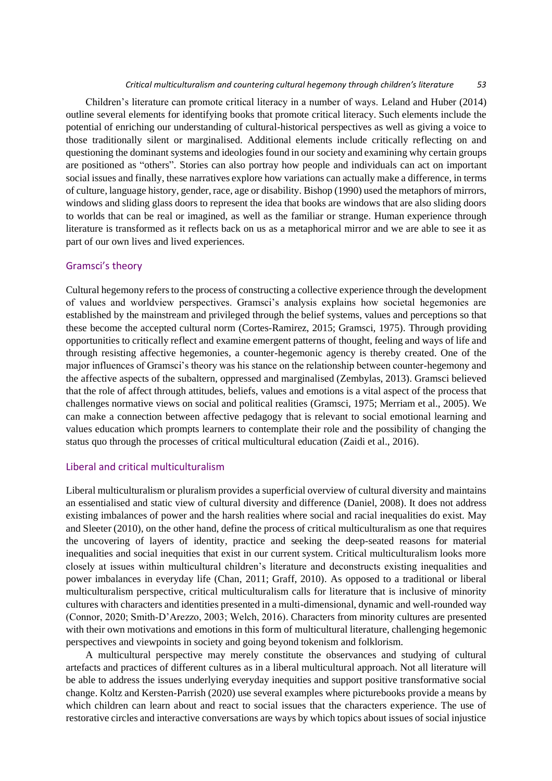#### *Critical multiculturalism and countering cultural hegemony through children's literature 53*

Children's literature can promote critical literacy in a number of ways. Leland and Huber (2014) outline several elements for identifying books that promote critical literacy. Such elements include the potential of enriching our understanding of cultural-historical perspectives as well as giving a voice to those traditionally silent or marginalised. Additional elements include critically reflecting on and questioning the dominant systems and ideologies found in our society and examining why certain groups are positioned as "others". Stories can also portray how people and individuals can act on important social issues and finally, these narratives explore how variations can actually make a difference, in terms of culture, language history, gender, race, age or disability. Bishop (1990) used the metaphors of mirrors, windows and sliding glass doors to represent the idea that books are windows that are also sliding doors to worlds that can be real or imagined, as well as the familiar or strange. Human experience through literature is transformed as it reflects back on us as a metaphorical mirror and we are able to see it as part of our own lives and lived experiences.

#### Gramsci's theory

Cultural hegemony refers to the process of constructing a collective experience through the development of values and worldview perspectives. Gramsci's analysis explains how societal hegemonies are established by the mainstream and privileged through the belief systems, values and perceptions so that these become the accepted cultural norm (Cortes-Ramirez, 2015; Gramsci, 1975). Through providing opportunities to critically reflect and examine emergent patterns of thought, feeling and ways of life and through resisting affective hegemonies, a counter-hegemonic agency is thereby created. One of the major influences of Gramsci's theory was his stance on the relationship between counter-hegemony and the affective aspects of the subaltern, oppressed and marginalised (Zembylas, 2013). Gramsci believed that the role of affect through attitudes, beliefs, values and emotions is a vital aspect of the process that challenges normative views on social and political realities (Gramsci, 1975; Merriam et al., 2005). We can make a connection between affective pedagogy that is relevant to social emotional learning and values education which prompts learners to contemplate their role and the possibility of changing the status quo through the processes of critical multicultural education (Zaidi et al., 2016).

## Liberal and critical multiculturalism

Liberal multiculturalism or pluralism provides a superficial overview of cultural diversity and maintains an essentialised and static view of cultural diversity and difference (Daniel, 2008). It does not address existing imbalances of power and the harsh realities where social and racial inequalities do exist. May and Sleeter (2010), on the other hand, define the process of critical multiculturalism as one that requires the uncovering of layers of identity, practice and seeking the deep-seated reasons for material inequalities and social inequities that exist in our current system. Critical multiculturalism looks more closely at issues within multicultural children's literature and deconstructs existing inequalities and power imbalances in everyday life (Chan, 2011; Graff, 2010). As opposed to a traditional or liberal multiculturalism perspective, critical multiculturalism calls for literature that is inclusive of minority cultures with characters and identities presented in a multi-dimensional, dynamic and well-rounded way (Connor, 2020; Smith‐D'Arezzo, 2003; Welch, 2016). Characters from minority cultures are presented with their own motivations and emotions in this form of multicultural literature, challenging hegemonic perspectives and viewpoints in society and going beyond tokenism and folklorism.

A multicultural perspective may merely constitute the observances and studying of cultural artefacts and practices of different cultures as in a liberal multicultural approach. Not all literature will be able to address the issues underlying everyday inequities and support positive transformative social change. Koltz and Kersten-Parrish (2020) use several examples where picturebooks provide a means by which children can learn about and react to social issues that the characters experience. The use of restorative circles and interactive conversations are ways by which topics about issues of social injustice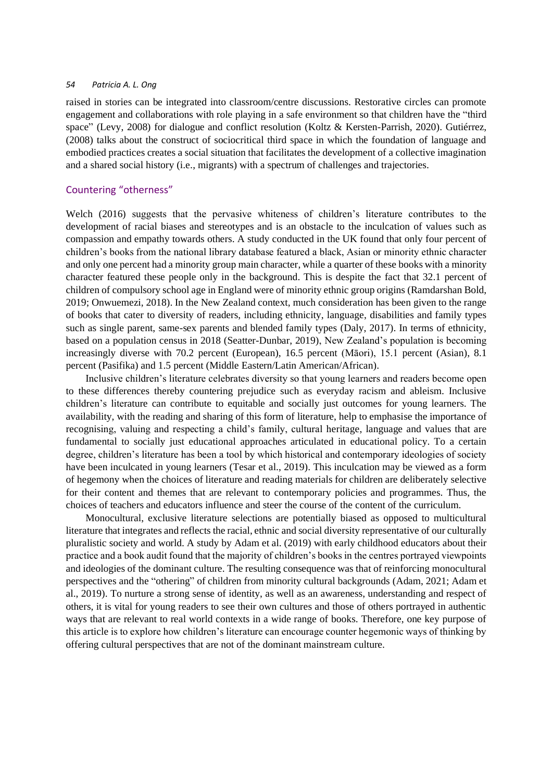raised in stories can be integrated into classroom/centre discussions. Restorative circles can promote engagement and collaborations with role playing in a safe environment so that children have the "third space" (Levy, 2008) for dialogue and conflict resolution (Koltz & Kersten-Parrish, 2020). Gutiérrez, (2008) talks about the construct of sociocritical third space in which the foundation of language and embodied practices creates a social situation that facilitates the development of a collective imagination and a shared social history (i.e., migrants) with a spectrum of challenges and trajectories.

## Countering "otherness"

Welch (2016) suggests that the pervasive whiteness of children's literature contributes to the development of racial biases and stereotypes and is an obstacle to the inculcation of values such as compassion and empathy towards others. A study conducted in the UK found that only four percent of children's books from the national library database featured a black, Asian or minority ethnic character and only one percent had a minority group main character, while a quarter of these books with a minority character featured these people only in the background. This is despite the fact that 32.1 percent of children of compulsory school age in England were of minority ethnic group origins (Ramdarshan Bold, 2019; Onwuemezi, 2018). In the New Zealand context, much consideration has been given to the range of books that cater to diversity of readers, including ethnicity, language, disabilities and family types such as single parent, same-sex parents and blended family types (Daly, 2017). In terms of ethnicity, based on a population census in 2018 (Seatter-Dunbar, 2019), New Zealand's population is becoming increasingly diverse with 70.2 percent (European), 16.5 percent (Māori), 15.1 percent (Asian), 8.1 percent (Pasifika) and 1.5 percent (Middle Eastern/Latin American/African).

Inclusive children's literature celebrates diversity so that young learners and readers become open to these differences thereby countering prejudice such as everyday racism and ableism. Inclusive children's literature can contribute to equitable and socially just outcomes for young learners. The availability, with the reading and sharing of this form of literature, help to emphasise the importance of recognising, valuing and respecting a child's family, cultural heritage, language and values that are fundamental to socially just educational approaches articulated in educational policy. To a certain degree, children's literature has been a tool by which historical and contemporary ideologies of society have been inculcated in young learners (Tesar et al., 2019). This inculcation may be viewed as a form of hegemony when the choices of literature and reading materials for children are deliberately selective for their content and themes that are relevant to contemporary policies and programmes. Thus, the choices of teachers and educators influence and steer the course of the content of the curriculum.

Monocultural, exclusive literature selections are potentially biased as opposed to multicultural literature that integrates and reflects the racial, ethnic and social diversity representative of our culturally pluralistic society and world. A study by Adam et al. (2019) with early childhood educators about their practice and a book audit found that the majority of children's books in the centres portrayed viewpoints and ideologies of the dominant culture. The resulting consequence was that of reinforcing monocultural perspectives and the "othering" of children from minority cultural backgrounds (Adam, 2021; Adam et al., 2019). To nurture a strong sense of identity, as well as an awareness, understanding and respect of others, it is vital for young readers to see their own cultures and those of others portrayed in authentic ways that are relevant to real world contexts in a wide range of books. Therefore, one key purpose of this article is to explore how children's literature can encourage counter hegemonic ways of thinking by offering cultural perspectives that are not of the dominant mainstream culture.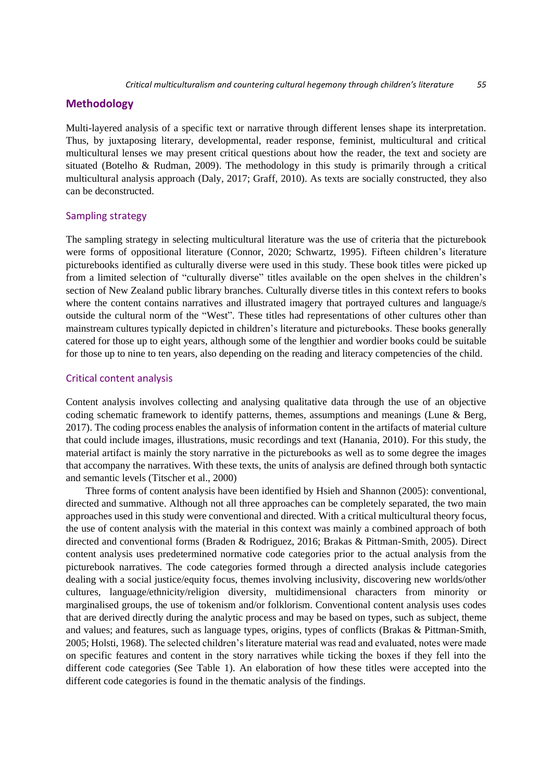# **Methodology**

Multi-layered analysis of a specific text or narrative through different lenses shape its interpretation. Thus, by juxtaposing literary, developmental, reader response, feminist, multicultural and critical multicultural lenses we may present critical questions about how the reader, the text and society are situated (Botelho & Rudman, 2009). The methodology in this study is primarily through a critical multicultural analysis approach (Daly, 2017; Graff, 2010). As texts are socially constructed, they also can be deconstructed.

### Sampling strategy

The sampling strategy in selecting multicultural literature was the use of criteria that the picturebook were forms of oppositional literature (Connor, 2020; Schwartz, 1995). Fifteen children's literature picturebooks identified as culturally diverse were used in this study. These book titles were picked up from a limited selection of "culturally diverse" titles available on the open shelves in the children's section of New Zealand public library branches. Culturally diverse titles in this context refers to books where the content contains narratives and illustrated imagery that portrayed cultures and language/s outside the cultural norm of the "West". These titles had representations of other cultures other than mainstream cultures typically depicted in children's literature and picturebooks. These books generally catered for those up to eight years, although some of the lengthier and wordier books could be suitable for those up to nine to ten years, also depending on the reading and literacy competencies of the child.

#### Critical content analysis

Content analysis involves collecting and analysing qualitative data through the use of an objective coding schematic framework to identify patterns, themes, assumptions and meanings (Lune & Berg, 2017). The coding process enables the analysis of information content in the artifacts of material culture that could include images, illustrations, music recordings and text (Hanania, 2010). For this study, the material artifact is mainly the story narrative in the picturebooks as well as to some degree the images that accompany the narratives. With these texts, the units of analysis are defined through both syntactic and semantic levels (Titscher et al., 2000)

Three forms of content analysis have been identified by Hsieh and Shannon (2005): conventional, directed and summative. Although not all three approaches can be completely separated, the two main approaches used in this study were conventional and directed. With a critical multicultural theory focus, the use of content analysis with the material in this context was mainly a combined approach of both directed and conventional forms (Braden & Rodriguez, 2016; Brakas & Pittman-Smith, 2005). Direct content analysis uses predetermined normative code categories prior to the actual analysis from the picturebook narratives. The code categories formed through a directed analysis include categories dealing with a social justice/equity focus, themes involving inclusivity, discovering new worlds/other cultures, language/ethnicity/religion diversity, multidimensional characters from minority or marginalised groups, the use of tokenism and/or folklorism. Conventional content analysis uses codes that are derived directly during the analytic process and may be based on types, such as subject, theme and values; and features, such as language types, origins, types of conflicts (Brakas & Pittman-Smith, 2005; Holsti, 1968). The selected children's literature material was read and evaluated, notes were made on specific features and content in the story narratives while ticking the boxes if they fell into the different code categories (See Table 1). An elaboration of how these titles were accepted into the different code categories is found in the thematic analysis of the findings.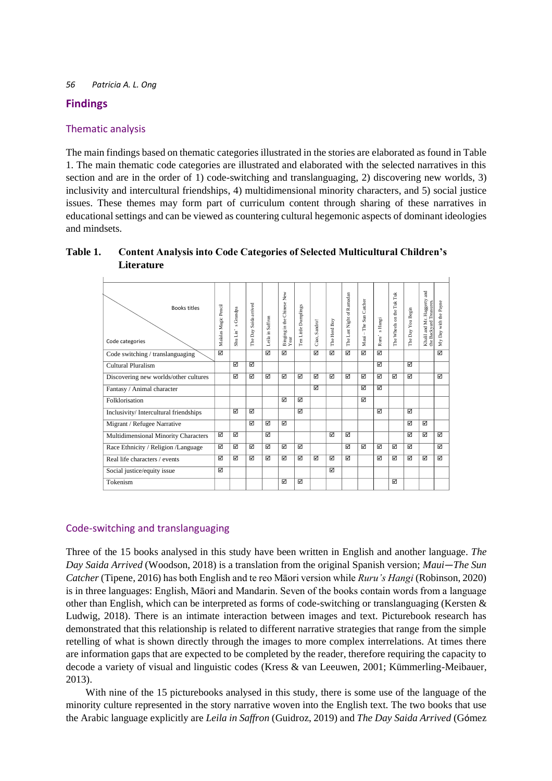# **Findings**

# Thematic analysis

The main findings based on thematic categories illustrated in the stories are elaborated as found in Table 1. The main thematic code categories are illustrated and elaborated with the selected narratives in this section and are in the order of 1) code-switching and translanguaging, 2) discovering new worlds, 3) inclusivity and intercultural friendships, 4) multidimensional minority characters, and 5) social justice issues. These themes may form part of curriculum content through sharing of these narratives in educational settings and can be viewed as countering cultural hegemonic aspects of dominant ideologies and mindsets.

| <b>Books titles</b><br>Code categories | Malalas Magic Pencil | Grandpa<br>ō,<br>Shu Lin' | Saida arrived<br>The Day | Leila in Saffron | Binging in the Chinese New<br>Year | Ten Little Dumplings | Ciao, Sandro! | The Herd Boy | The Last Night of Ramadan | Catcher<br>The Sun<br>$Maui -$ | s Hangi<br>Ruru' | The Wheels on the Tuk Tuk | You Begin<br>The Day | Khalil and Mr. Haggerty and<br>the Backyard Treasures. | My Day with the Payne |
|----------------------------------------|----------------------|---------------------------|--------------------------|------------------|------------------------------------|----------------------|---------------|--------------|---------------------------|--------------------------------|------------------|---------------------------|----------------------|--------------------------------------------------------|-----------------------|
| Code switching / translanguaging       | М                    |                           |                          | М                | М                                  |                      | ☑             | ☑            | М                         | ⊠                              | М                |                           |                      |                                                        | ☑                     |
| Cultural Pluralism                     |                      | ☑                         | ☑                        |                  |                                    |                      |               |              |                           |                                | М                |                           | ⊠                    |                                                        |                       |
| Discovering new worlds/other cultures  |                      | ☑                         | ☑                        | ☑                | $\triangledown$                    | ☑                    | ☑             | ⊠            | ☑                         | ☑                              | ☑                | М                         | ⊠                    |                                                        | ☑                     |
| Fantasy / Animal character             |                      |                           |                          |                  |                                    |                      | ☑             |              |                           | ⊠                              | ☑                |                           |                      |                                                        |                       |
| Folklorisation                         |                      |                           |                          |                  | $\triangledown$                    | ☑                    |               |              |                           | ☑                              |                  |                           |                      |                                                        |                       |
| Inclusivity/Intercultural friendships  |                      | ☑                         | ☑                        |                  |                                    | ☑                    |               |              |                           |                                | ☑                |                           | ⊠                    |                                                        |                       |
| Migrant / Refugee Narrative            |                      |                           | ☑                        | ☑                | ☑                                  |                      |               |              |                           |                                |                  |                           | ☑                    | ☑                                                      |                       |
| Multidimensional Minority Characters   | ☑                    | ☑                         |                          | М                |                                    |                      |               | ⊠            | ☑                         |                                |                  |                           | ☑                    | ☑                                                      | ☑                     |
| Race Ethnicity / Religion /Language    | ☑                    | М                         | ☑                        | ☑                | ⊠                                  | ☑                    |               |              | М                         | ⊠                              | ☑                | ⊠                         | ⊠                    |                                                        | ☑                     |
| Real life characters / events          | ☑                    | ⊠                         | ☑                        | ☑                | $\triangledown$                    | ☑                    | ☑             | ☑            | ☑                         |                                | ☑                | ⊠                         | ⊠                    | ☑                                                      | ☑                     |
| Social justice/equity issue            | ☑                    |                           |                          |                  |                                    |                      |               | ☑            |                           |                                |                  |                           |                      |                                                        |                       |
| Tokenism                               |                      |                           |                          |                  | ☑                                  | ☑                    |               |              |                           |                                |                  | М                         |                      |                                                        |                       |

| Table 1. | <b>Content Analysis into Code Categories of Selected Multicultural Children's</b> |
|----------|-----------------------------------------------------------------------------------|
|          | Literature                                                                        |

# Code-switching and translanguaging

Three of the 15 books analysed in this study have been written in English and another language. *The Day Saida Arrived* (Woodson, 2018) is a translation from the original Spanish version; *Maui—The Sun Catcher* (Tipene, 2016) has both English and te reo Māori version while *Ruru's Hangi* (Robinson, 2020) is in three languages: English, Māori and Mandarin. Seven of the books contain words from a language other than English, which can be interpreted as forms of code-switching or translanguaging (Kersten & Ludwig, 2018). There is an intimate interaction between images and text. Picturebook research has demonstrated that this relationship is related to different narrative strategies that range from the simple retelling of what is shown directly through the images to more complex interrelations. At times there are information gaps that are expected to be completed by the reader, therefore requiring the capacity to decode a variety of visual and linguistic codes (Kress & van Leeuwen, 2001; Kümmerling-Meibauer, 2013).

With nine of the 15 picturebooks analysed in this study, there is some use of the language of the minority culture represented in the story narrative woven into the English text. The two books that use the Arabic language explicitly are *Leila in Saffron* (Guidroz, 2019) and *The Day Saida Arrived* (Gómez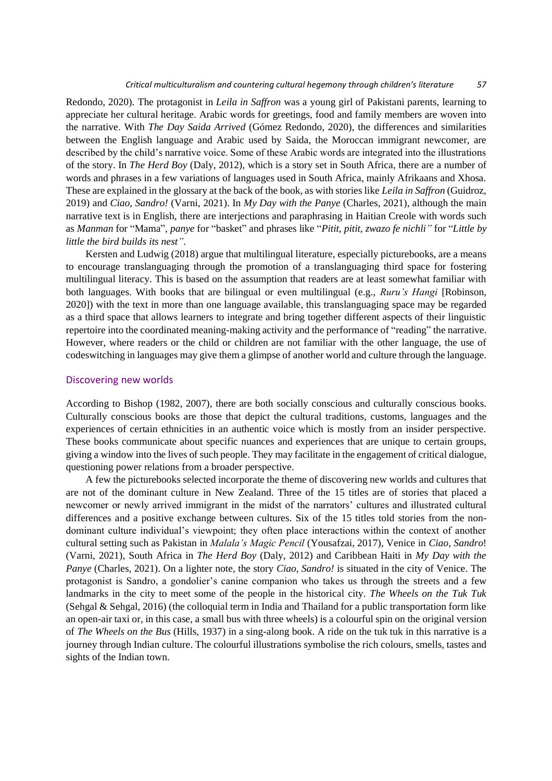#### *Critical multiculturalism and countering cultural hegemony through children's literature 57*

Redondo, 2020)*.* The protagonist in *Leila in Saffron* was a young girl of Pakistani parents, learning to appreciate her cultural heritage. Arabic words for greetings, food and family members are woven into the narrative. With *The Day Saida Arrived* (Gómez Redondo, 2020), the differences and similarities between the English language and Arabic used by Saida, the Moroccan immigrant newcomer, are described by the child's narrative voice. Some of these Arabic words are integrated into the illustrations of the story. In *The Herd Boy* (Daly, 2012), which is a story set in South Africa, there are a number of words and phrases in a few variations of languages used in South Africa, mainly Afrikaans and Xhosa. These are explained in the glossary at the back of the book, as with stories like *Leila in Saffron* (Guidroz, 2019) and *Ciao, Sandro!* (Varni, 2021). In *My Day with the Panye* (Charles, 2021), although the main narrative text is in English, there are interjections and paraphrasing in Haitian Creole with words such as *Manman* for "Mama", *panye* for "basket" and phrases like "*Pitit, pitit, zwazo fe nichli"* for "*Little by little the bird builds its nest"*.

Kersten and Ludwig (2018) argue that multilingual literature, especially picturebooks, are a means to encourage translanguaging through the promotion of a translanguaging third space for fostering multilingual literacy. This is based on the assumption that readers are at least somewhat familiar with both languages. With books that are bilingual or even multilingual (e.g., *Ruru's Hangi* [Robinson, 2020]) with the text in more than one language available, this translanguaging space may be regarded as a third space that allows learners to integrate and bring together different aspects of their linguistic repertoire into the coordinated meaning-making activity and the performance of "reading" the narrative. However, where readers or the child or children are not familiar with the other language, the use of codeswitching in languages may give them a glimpse of another world and culture through the language.

#### Discovering new worlds

According to Bishop (1982, 2007), there are both socially conscious and culturally conscious books. Culturally conscious books are those that depict the cultural traditions, customs, languages and the experiences of certain ethnicities in an authentic voice which is mostly from an insider perspective. These books communicate about specific nuances and experiences that are unique to certain groups, giving a window into the lives of such people. They may facilitate in the engagement of critical dialogue, questioning power relations from a broader perspective.

A few the picturebooks selected incorporate the theme of discovering new worlds and cultures that are not of the dominant culture in New Zealand. Three of the 15 titles are of stories that placed a newcomer or newly arrived immigrant in the midst of the narrators' cultures and illustrated cultural differences and a positive exchange between cultures. Six of the 15 titles told stories from the nondominant culture individual's viewpoint; they often place interactions within the context of another cultural setting such as Pakistan in *Malala's Magic Pencil* (Yousafzai, 2017), Venice in *Ciao, Sandro*! (Varni, 2021), South Africa in *The Herd Boy* (Daly, 2012) and Caribbean Haiti in *My Day with the Panye* (Charles, 2021). On a lighter note, the story *Ciao, Sandro!* is situated in the city of Venice. The protagonist is Sandro, a gondolier's canine companion who takes us through the streets and a few landmarks in the city to meet some of the people in the historical city. *The Wheels on the Tuk Tuk* (Sehgal & Sehgal, 2016) (the colloquial term in India and Thailand for a public transportation form like an open-air taxi or, in this case, a small bus with three wheels) is a colourful spin on the original version of *The Wheels on the Bus* (Hills, 1937) in a sing-along book. A ride on the tuk tuk in this narrative is a journey through Indian culture. The colourful illustrations symbolise the rich colours, smells, tastes and sights of the Indian town.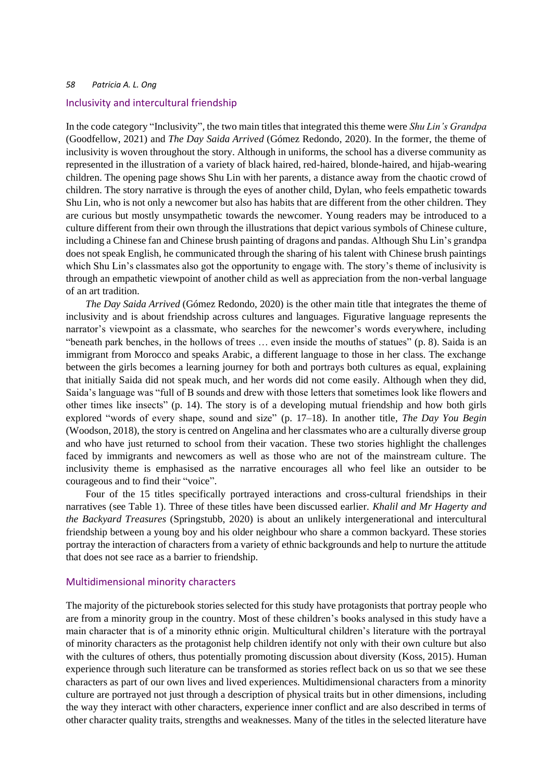#### Inclusivity and intercultural friendship

In the code category "Inclusivity", the two main titles that integrated this theme were *Shu Lin's Grandpa* (Goodfellow, 2021) and *The Day Saida Arrived* (Gómez Redondo, 2020). In the former, the theme of inclusivity is woven throughout the story. Although in uniforms, the school has a diverse community as represented in the illustration of a variety of black haired, red-haired, blonde-haired, and hijab-wearing children. The opening page shows Shu Lin with her parents, a distance away from the chaotic crowd of children. The story narrative is through the eyes of another child, Dylan, who feels empathetic towards Shu Lin, who is not only a newcomer but also has habits that are different from the other children. They are curious but mostly unsympathetic towards the newcomer. Young readers may be introduced to a culture different from their own through the illustrations that depict various symbols of Chinese culture, including a Chinese fan and Chinese brush painting of dragons and pandas. Although Shu Lin's grandpa does not speak English, he communicated through the sharing of his talent with Chinese brush paintings which Shu Lin's classmates also got the opportunity to engage with. The story's theme of inclusivity is through an empathetic viewpoint of another child as well as appreciation from the non-verbal language of an art tradition.

*The Day Saida Arrived* (Gómez Redondo, 2020) is the other main title that integrates the theme of inclusivity and is about friendship across cultures and languages. Figurative language represents the narrator's viewpoint as a classmate, who searches for the newcomer's words everywhere, including "beneath park benches, in the hollows of trees … even inside the mouths of statues" (p. 8). Saida is an immigrant from Morocco and speaks Arabic, a different language to those in her class. The exchange between the girls becomes a learning journey for both and portrays both cultures as equal, explaining that initially Saida did not speak much, and her words did not come easily. Although when they did, Saida's language was "full of B sounds and drew with those letters that sometimes look like flowers and other times like insects" (p. 14). The story is of a developing mutual friendship and how both girls explored "words of every shape, sound and size" (p. 17–18). In another title, *The Day You Begin* (Woodson, 2018), the story is centred on Angelina and her classmates who are a culturally diverse group and who have just returned to school from their vacation. These two stories highlight the challenges faced by immigrants and newcomers as well as those who are not of the mainstream culture. The inclusivity theme is emphasised as the narrative encourages all who feel like an outsider to be courageous and to find their "voice".

Four of the 15 titles specifically portrayed interactions and cross-cultural friendships in their narratives (see Table 1). Three of these titles have been discussed earlier. *Khalil and Mr Hagerty and the Backyard Treasures* (Springstubb, 2020) is about an unlikely intergenerational and intercultural friendship between a young boy and his older neighbour who share a common backyard. These stories portray the interaction of characters from a variety of ethnic backgrounds and help to nurture the attitude that does not see race as a barrier to friendship.

#### Multidimensional minority characters

The majority of the picturebook stories selected for this study have protagonists that portray people who are from a minority group in the country. Most of these children's books analysed in this study have a main character that is of a minority ethnic origin. Multicultural children's literature with the portrayal of minority characters as the protagonist help children identify not only with their own culture but also with the cultures of others, thus potentially promoting discussion about diversity (Koss, 2015). Human experience through such literature can be transformed as stories reflect back on us so that we see these characters as part of our own lives and lived experiences. Multidimensional characters from a minority culture are portrayed not just through a description of physical traits but in other dimensions, including the way they interact with other characters, experience inner conflict and are also described in terms of other character quality traits, strengths and weaknesses. Many of the titles in the selected literature have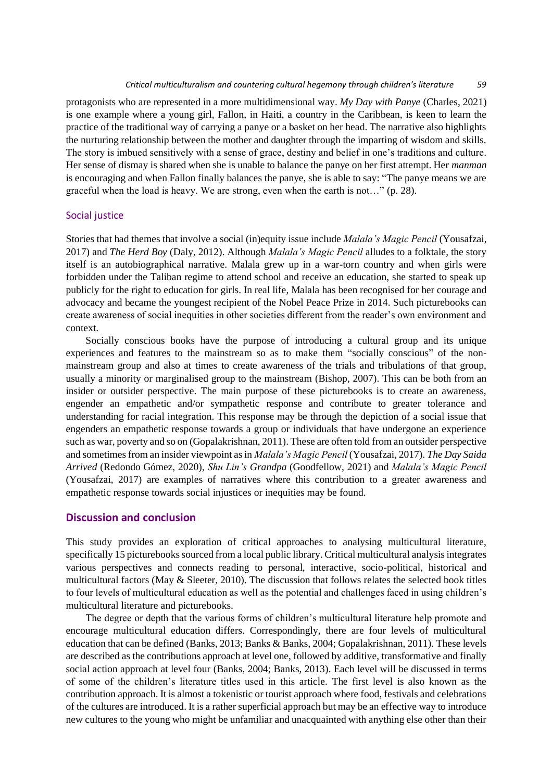protagonists who are represented in a more multidimensional way. *My Day with Panye* (Charles, 2021) is one example where a young girl, Fallon, in Haiti, a country in the Caribbean, is keen to learn the practice of the traditional way of carrying a panye or a basket on her head. The narrative also highlights the nurturing relationship between the mother and daughter through the imparting of wisdom and skills. The story is imbued sensitively with a sense of grace, destiny and belief in one's traditions and culture. Her sense of dismay is shared when she is unable to balance the panye on her first attempt. Her *manman*  is encouraging and when Fallon finally balances the panye, she is able to say: "The panye means we are graceful when the load is heavy. We are strong, even when the earth is not…" (p. 28).

#### Social justice

Stories that had themes that involve a social (in)equity issue include *Malala's Magic Pencil* (Yousafzai, 2017) and *The Herd Boy* (Daly, 2012). Although *Malala's Magic Pencil* alludes to a folktale, the story itself is an autobiographical narrative. Malala grew up in a war-torn country and when girls were forbidden under the Taliban regime to attend school and receive an education, she started to speak up publicly for the right to education for girls. In real life, Malala has been recognised for her courage and advocacy and became the youngest recipient of the Nobel Peace Prize in 2014. Such picturebooks can create awareness of social inequities in other societies different from the reader's own environment and context.

Socially conscious books have the purpose of introducing a cultural group and its unique experiences and features to the mainstream so as to make them "socially conscious" of the nonmainstream group and also at times to create awareness of the trials and tribulations of that group, usually a minority or marginalised group to the mainstream (Bishop, 2007). This can be both from an insider or outsider perspective. The main purpose of these picturebooks is to create an awareness, engender an empathetic and/or sympathetic response and contribute to greater tolerance and understanding for racial integration. This response may be through the depiction of a social issue that engenders an empathetic response towards a group or individuals that have undergone an experience such as war, poverty and so on (Gopalakrishnan, 2011). These are often told from an outsider perspective and sometimes from an insider viewpoint as in *Malala's Magic Pencil* (Yousafzai, 2017)*. The Day Saida Arrived* (Redondo Gómez, 2020), *Shu Lin's Grandpa* (Goodfellow, 2021) and *Malala's Magic Pencil* (Yousafzai, 2017) are examples of narratives where this contribution to a greater awareness and empathetic response towards social injustices or inequities may be found.

# **Discussion and conclusion**

This study provides an exploration of critical approaches to analysing multicultural literature, specifically 15 picturebooks sourced from a local public library. Critical multicultural analysis integrates various perspectives and connects reading to personal, interactive, socio-political, historical and multicultural factors (May  $\&$  Sleeter, 2010). The discussion that follows relates the selected book titles to four levels of multicultural education as well as the potential and challenges faced in using children's multicultural literature and picturebooks.

The degree or depth that the various forms of children's multicultural literature help promote and encourage multicultural education differs. Correspondingly, there are four levels of multicultural education that can be defined (Banks, 2013; Banks & Banks, 2004; Gopalakrishnan, 2011). These levels are described as the contributions approach at level one, followed by additive, transformative and finally social action approach at level four (Banks, 2004; Banks, 2013). Each level will be discussed in terms of some of the children's literature titles used in this article. The first level is also known as the contribution approach. It is almost a tokenistic or tourist approach where food, festivals and celebrations of the cultures are introduced. It is a rather superficial approach but may be an effective way to introduce new cultures to the young who might be unfamiliar and unacquainted with anything else other than their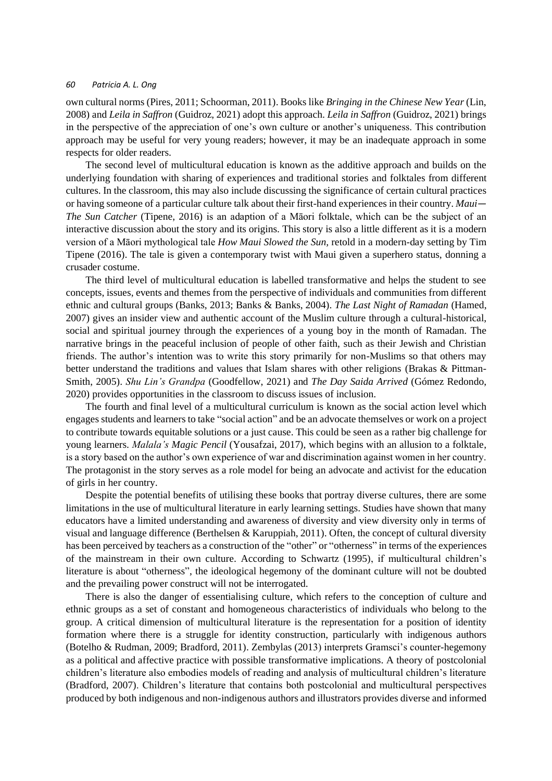own cultural norms (Pires, 2011; Schoorman, 2011). Books like *Bringing in the Chinese New Year* (Lin, 2008) and *Leila in Saffron* (Guidroz, 2021) adopt this approach. *Leila in Saffron* (Guidroz, 2021) brings in the perspective of the appreciation of one's own culture or another's uniqueness. This contribution approach may be useful for very young readers; however, it may be an inadequate approach in some respects for older readers.

The second level of multicultural education is known as the additive approach and builds on the underlying foundation with sharing of experiences and traditional stories and folktales from different cultures. In the classroom, this may also include discussing the significance of certain cultural practices or having someone of a particular culture talk about their first-hand experiences in their country. *Maui— The Sun Catcher* (Tipene, 2016) is an adaption of a Māori folktale, which can be the subject of an interactive discussion about the story and its origins. This story is also a little different as it is a modern version of a Māori mythological tale *How Maui Slowed the Sun,* retold in a modern-day setting by Tim Tipene (2016). The tale is given a contemporary twist with Maui given a superhero status, donning a crusader costume.

The third level of multicultural education is labelled transformative and helps the student to see concepts, issues, events and themes from the perspective of individuals and communities from different ethnic and cultural groups (Banks, 2013; Banks & Banks, 2004). *The Last Night of Ramadan* (Hamed, 2007) gives an insider view and authentic account of the Muslim culture through a cultural-historical, social and spiritual journey through the experiences of a young boy in the month of Ramadan. The narrative brings in the peaceful inclusion of people of other faith, such as their Jewish and Christian friends. The author's intention was to write this story primarily for non-Muslims so that others may better understand the traditions and values that Islam shares with other religions (Brakas & Pittman-Smith, 2005). *Shu Lin's Grandpa* (Goodfellow, 2021) and *The Day Saida Arrived* (Gómez Redondo, 2020) provides opportunities in the classroom to discuss issues of inclusion.

The fourth and final level of a multicultural curriculum is known as the social action level which engages students and learners to take "social action" and be an advocate themselves or work on a project to contribute towards equitable solutions or a just cause. This could be seen as a rather big challenge for young learners. *Malala's Magic Pencil* (Yousafzai, 2017), which begins with an allusion to a folktale, is a story based on the author's own experience of war and discrimination against women in her country. The protagonist in the story serves as a role model for being an advocate and activist for the education of girls in her country.

Despite the potential benefits of utilising these books that portray diverse cultures, there are some limitations in the use of multicultural literature in early learning settings. Studies have shown that many educators have a limited understanding and awareness of diversity and view diversity only in terms of visual and language difference (Berthelsen & Karuppiah, 2011). Often, the concept of cultural diversity has been perceived by teachers as a construction of the "other" or "otherness" in terms of the experiences of the mainstream in their own culture. According to Schwartz (1995), if multicultural children's literature is about "otherness", the ideological hegemony of the dominant culture will not be doubted and the prevailing power construct will not be interrogated.

There is also the danger of essentialising culture, which refers to the conception of culture and ethnic groups as a set of constant and homogeneous characteristics of individuals who belong to the group. A critical dimension of multicultural literature is the representation for a position of identity formation where there is a struggle for identity construction, particularly with indigenous authors (Botelho & Rudman, 2009; Bradford, 2011). Zembylas (2013) interprets Gramsci's counter-hegemony as a political and affective practice with possible transformative implications. A theory of postcolonial children's literature also embodies models of reading and analysis of multicultural children's literature (Bradford, 2007). Children's literature that contains both postcolonial and multicultural perspectives produced by both indigenous and non-indigenous authors and illustrators provides diverse and informed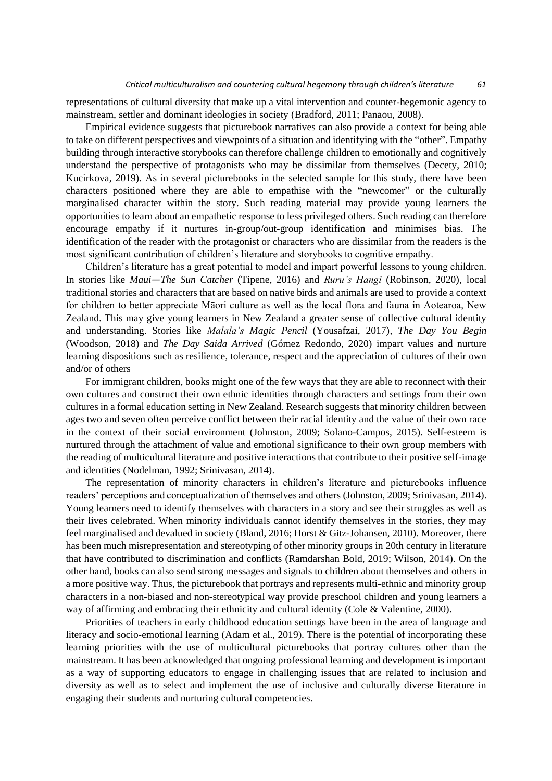representations of cultural diversity that make up a vital intervention and counter-hegemonic agency to mainstream, settler and dominant ideologies in society (Bradford, 2011; Panaou, 2008).

Empirical evidence suggests that picturebook narratives can also provide a context for being able to take on different perspectives and viewpoints of a situation and identifying with the "other". Empathy building through interactive storybooks can therefore challenge children to emotionally and cognitively understand the perspective of protagonists who may be dissimilar from themselves (Decety, 2010; Kucirkova, 2019). As in several picturebooks in the selected sample for this study, there have been characters positioned where they are able to empathise with the "newcomer" or the culturally marginalised character within the story. Such reading material may provide young learners the opportunities to learn about an empathetic response to less privileged others. Such reading can therefore encourage empathy if it nurtures in-group/out-group identification and minimises bias. The identification of the reader with the protagonist or characters who are dissimilar from the readers is the most significant contribution of children's literature and storybooks to cognitive empathy.

Children's literature has a great potential to model and impart powerful lessons to young children. In stories like *Maui—The Sun Catcher* (Tipene, 2016) and *Ruru's Hangi* (Robinson, 2020), local traditional stories and characters that are based on native birds and animals are used to provide a context for children to better appreciate Māori culture as well as the local flora and fauna in Aotearoa, New Zealand. This may give young learners in New Zealand a greater sense of collective cultural identity and understanding. Stories like *Malala's Magic Pencil* (Yousafzai, 2017)*, The Day You Begin* (Woodson, 2018) and *The Day Saida Arrived* (Gómez Redondo, 2020) impart values and nurture learning dispositions such as resilience, tolerance, respect and the appreciation of cultures of their own and/or of others

For immigrant children, books might one of the few ways that they are able to reconnect with their own cultures and construct their own ethnic identities through characters and settings from their own cultures in a formal education setting in New Zealand. Research suggests that minority children between ages two and seven often perceive conflict between their racial identity and the value of their own race in the context of their social environment (Johnston, 2009; Solano-Campos, 2015). Self-esteem is nurtured through the attachment of value and emotional significance to their own group members with the reading of multicultural literature and positive interactions that contribute to their positive self-image and identities (Nodelman, 1992; Srinivasan, 2014).

The representation of minority characters in children's literature and picturebooks influence readers' perceptions and conceptualization of themselves and others (Johnston, 2009; Srinivasan, 2014). Young learners need to identify themselves with characters in a story and see their struggles as well as their lives celebrated. When minority individuals cannot identify themselves in the stories, they may feel marginalised and devalued in society (Bland, 2016; Horst & Gitz-Johansen, 2010). Moreover, there has been much misrepresentation and stereotyping of other minority groups in 20th century in literature that have contributed to discrimination and conflicts (Ramdarshan Bold, 2019; Wilson, 2014). On the other hand, books can also send strong messages and signals to children about themselves and others in a more positive way. Thus, the picturebook that portrays and represents multi-ethnic and minority group characters in a non-biased and non-stereotypical way provide preschool children and young learners a way of affirming and embracing their ethnicity and cultural identity (Cole & Valentine, 2000).

Priorities of teachers in early childhood education settings have been in the area of language and literacy and socio-emotional learning (Adam et al., 2019). There is the potential of incorporating these learning priorities with the use of multicultural picturebooks that portray cultures other than the mainstream. It has been acknowledged that ongoing professional learning and development is important as a way of supporting educators to engage in challenging issues that are related to inclusion and diversity as well as to select and implement the use of inclusive and culturally diverse literature in engaging their students and nurturing cultural competencies.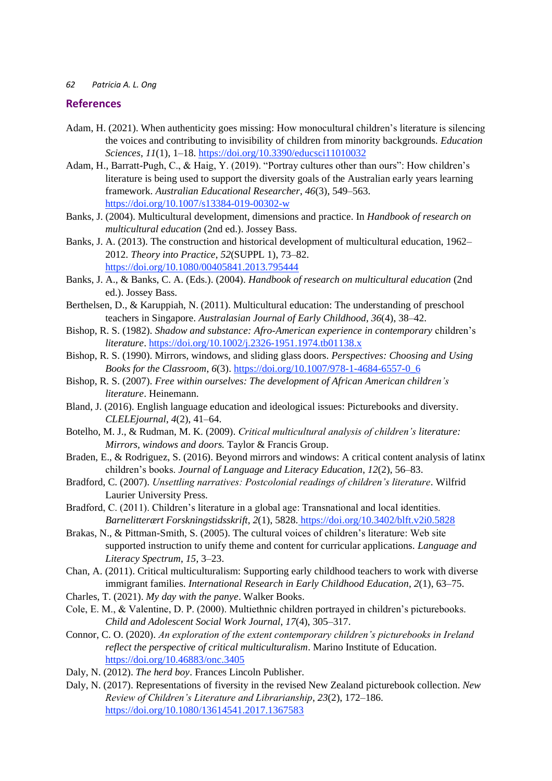## **References**

- Adam, H. (2021). When authenticity goes missing: How monocultural children's literature is silencing the voices and contributing to invisibility of children from minority backgrounds. *Education Sciences*, *11*(1), 1–18[. https://doi.org/10.3390/educsci11010032](https://doi.org/10.3390/educsci11010032)
- Adam, H., Barratt-Pugh, C., & Haig, Y. (2019). "Portray cultures other than ours": How children's literature is being used to support the diversity goals of the Australian early years learning framework. *Australian Educational Researcher*, *46*(3), 549–563. <https://doi.org/10.1007/s13384-019-00302-w>
- Banks, J. (2004). Multicultural development, dimensions and practice. In *Handbook of research on multicultural education* (2nd ed.). Jossey Bass.
- Banks, J. A. (2013). The construction and historical development of multicultural education, 1962– 2012. *Theory into Practice*, *52*(SUPPL 1), 73–82. <https://doi.org/10.1080/00405841.2013.795444>
- Banks, J. A., & Banks, C. A. (Eds.). (2004). *Handbook of research on multicultural education* (2nd ed.). Jossey Bass.
- Berthelsen, D., & Karuppiah, N. (2011). Multicultural education: The understanding of preschool teachers in Singapore. *Australasian Journal of Early Childhood*, *36*(4), 38–42.
- Bishop, R. S. (1982). *Shadow and substance: Afro-American experience in contemporary* children's *literature*.<https://doi.org/10.1002/j.2326-1951.1974.tb01138.x>
- Bishop, R. S. (1990). Mirrors, windows, and sliding glass doors. *Perspectives: Choosing and Using Books for the Classroom*, *6*(3). [https://doi.org/10.1007/978-1-4684-6557-0\\_6](https://doi.org/10.1007/978-1-4684-6557-0_6)
- Bishop, R. S. (2007). *Free within ourselves: The development of African American children's literature*. Heinemann.
- Bland, J. (2016). English language education and ideological issues: Picturebooks and diversity. *CLELEjournal*, *4*(2), 41–64.
- Botelho, M. J., & Rudman, M. K. (2009). *Critical multicultural analysis of children's literature: Mirrors, windows and doors.* Taylor & Francis Group.
- Braden, E., & Rodriguez, S. (2016). Beyond mirrors and windows: A critical content analysis of latinx children's books. *Journal of Language and Literacy Education*, *12*(2), 56–83.
- Bradford, C. (2007). *Unsettling narratives: Postcolonial readings of children's literature*. Wilfrid Laurier University Press.
- Bradford, C. (2011). Children's literature in a global age: Transnational and local identities. *Barnelitterært Forskningstidsskrift*, *2*(1), 5828. <https://doi.org/10.3402/blft.v2i0.5828>
- Brakas, N., & Pittman-Smith, S. (2005). The cultural voices of children's literature: Web site supported instruction to unify theme and content for curricular applications. *Language and Literacy Spectrum*, *15*, 3–23.
- Chan, A. (2011). Critical multiculturalism: Supporting early childhood teachers to work with diverse immigrant families. *International Research in Early Childhood Education*, *2*(1), 63–75.
- Charles, T. (2021). *My day with the panye*. Walker Books.
- Cole, E. M., & Valentine, D. P. (2000). Multiethnic children portrayed in children's picturebooks. *Child and Adolescent Social Work Journal*, *17*(4), 305–317.
- Connor, C. O. (2020). *An exploration of the extent contemporary children's picturebooks in Ireland reflect the perspective of critical multiculturalism*. Marino Institute of Education. <https://doi.org/10.46883/onc.3405>
- Daly, N. (2012). *The herd boy*. Frances Lincoln Publisher.
- Daly, N. (2017). Representations of fiversity in the revised New Zealand picturebook collection. *New Review of Children's Literature and Librarianship*, *23*(2), 172–186. <https://doi.org/10.1080/13614541.2017.1367583>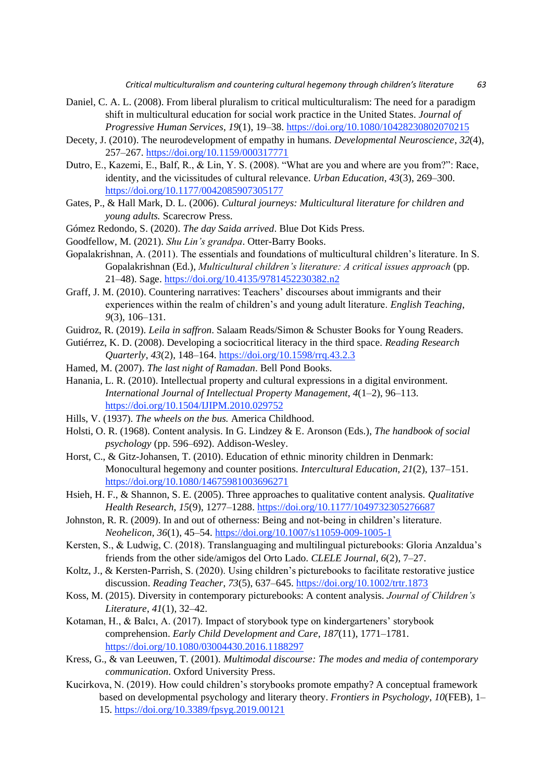- Daniel, C. A. L. (2008). From liberal pluralism to critical multiculturalism: The need for a paradigm shift in multicultural education for social work practice in the United States. *Journal of Progressive Human Services*, *19*(1), 19–38. <https://doi.org/10.1080/10428230802070215>
- Decety, J. (2010). The neurodevelopment of empathy in humans. *Developmental Neuroscience*, *32*(4), 257–267.<https://doi.org/10.1159/000317771>
- Dutro, E., Kazemi, E., Balf, R., & Lin, Y. S. (2008). "What are you and where are you from?": Race, identity, and the vicissitudes of cultural relevance. *Urban Education*, *43*(3), 269–300. <https://doi.org/10.1177/0042085907305177>
- Gates, P., & Hall Mark, D. L. (2006). *Cultural journeys: Multicultural literature for children and young adults.* Scarecrow Press.
- Gómez Redondo, S. (2020). *The day Saida arrived*. Blue Dot Kids Press.
- Goodfellow, M. (2021). *Shu Lin's grandpa*. Otter-Barry Books.
- Gopalakrishnan, A. (2011). The essentials and foundations of multicultural children's literature. In S. Gopalakrishnan (Ed.), *Multicultural children's literature: A critical issues approach* (pp. 21–48). Sage.<https://doi.org/10.4135/9781452230382.n2>
- Graff, J. M. (2010). Countering narratives: Teachers' discourses about immigrants and their experiences within the realm of children's and young adult literature. *English Teaching*, *9*(3), 106–131.
- Guidroz, R. (2019). *Leila in saffron*. Salaam Reads/Simon & Schuster Books for Young Readers.
- Gutiérrez, K. D. (2008). Developing a sociocritical literacy in the third space. *Reading Research Quarterly*, *43*(2), 148–164[. https://doi.org/10.1598/rrq.43.2.3](https://doi.org/10.1598/rrq.43.2.3)
- Hamed, M. (2007). *The last night of Ramadan*. Bell Pond Books.
- Hanania, L. R. (2010). Intellectual property and cultural expressions in a digital environment. *International Journal of Intellectual Property Management*, *4*(1–2), 96–113. <https://doi.org/10.1504/IJIPM.2010.029752>
- Hills, V. (1937). *The wheels on the bus.* America Childhood.
- Holsti, O. R. (1968). Content analysis. In G. Lindzey & E. Aronson (Eds.), *The handbook of social psychology* (pp. 596–692). Addison-Wesley.
- Horst, C., & Gitz-Johansen, T. (2010). Education of ethnic minority children in Denmark: Monocultural hegemony and counter positions. *Intercultural Education*, *21*(2), 137–151. <https://doi.org/10.1080/14675981003696271>
- Hsieh, H. F., & Shannon, S. E. (2005). Three approaches to qualitative content analysis. *Qualitative Health Research*, *15*(9), 1277–1288.<https://doi.org/10.1177/1049732305276687>
- Johnston, R. R. (2009). In and out of otherness: Being and not-being in children's literature. *Neohelicon*, *36*(1), 45–54[. https://doi.org/10.1007/s11059-009-1005-1](https://doi.org/10.1007/s11059-009-1005-1)
- Kersten, S., & Ludwig, C. (2018). Translanguaging and multilingual picturebooks: Gloria Anzaldua's friends from the other side/amigos del Orto Lado. *CLELE Journal*, *6*(2), 7–27.
- Koltz, J., & Kersten-Parrish, S. (2020). Using children's picturebooks to facilitate restorative justice discussion. *Reading Teacher*, *73*(5), 637–645.<https://doi.org/10.1002/trtr.1873>
- Koss, M. (2015). Diversity in contemporary picturebooks: A content analysis. *Journal of Children's Literature*, *41*(1), 32–42.
- Kotaman, H., & Balcı, A. (2017). Impact of storybook type on kindergarteners' storybook comprehension. *Early Child Development and Care*, *187*(11), 1771–1781. <https://doi.org/10.1080/03004430.2016.1188297>
- Kress, G., & van Leeuwen, T. (2001). *Multimodal discourse: The modes and media of contemporary communication*. Oxford University Press.
- Kucirkova, N. (2019). How could children's storybooks promote empathy? A conceptual framework based on developmental psychology and literary theory. *Frontiers in Psychology*, *10*(FEB), 1– 15. <https://doi.org/10.3389/fpsyg.2019.00121>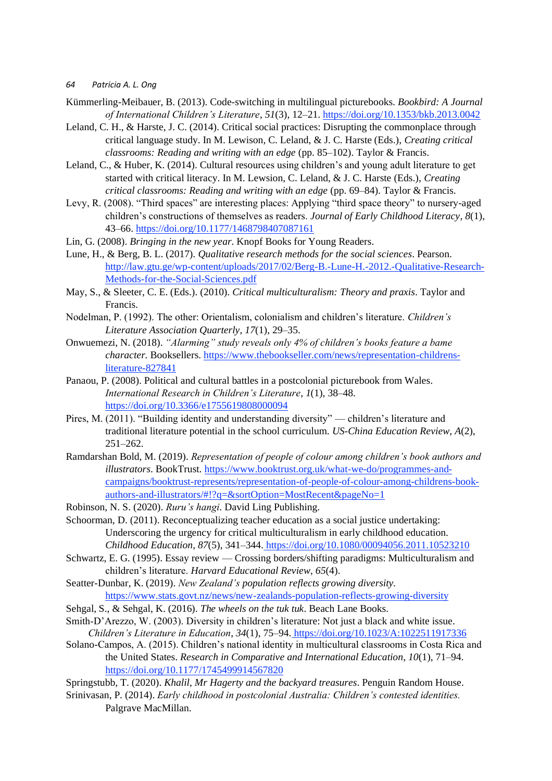- Kümmerling-Meibauer, B. (2013). Code-switching in multilingual picturebooks. *Bookbird: A Journal of International Children's Literature*, *51*(3), 12–21.<https://doi.org/10.1353/bkb.2013.0042>
- Leland, C. H., & Harste, J. C. (2014). Critical social practices: Disrupting the commonplace through critical language study. In M. Lewison, C. Leland, & J. C. Harste (Eds.), *Creating critical classrooms: Reading and writing with an edge* (pp. 85–102). Taylor & Francis.
- Leland, C., & Huber, K. (2014). Cultural resources using children's and young adult literature to get started with critical literacy. In M. Lewsion, C. Leland, & J. C. Harste (Eds.), *Creating critical classrooms: Reading and writing with an edge* (pp. 69–84). Taylor & Francis.
- Levy, R. (2008). "Third spaces" are interesting places: Applying "third space theory" to nursery-aged children's constructions of themselves as readers. *Journal of Early Childhood Literacy*, *8*(1), 43–66.<https://doi.org/10.1177/1468798407087161>
- Lin, G. (2008). *Bringing in the new year*. Knopf Books for Young Readers.
- Lune, H., & Berg, B. L. (2017). *Qualitative research methods for the social sciences*. Pearson. [http://law.gtu.ge/wp-content/uploads/2017/02/Berg-B.-Lune-H.-2012.-Qualitative-Research-](http://law.gtu.ge/wp-content/uploads/2017/02/Berg-B.-Lune-H.-2012.-Qualitative-Research-Methods-for-the-Social-Sciences.pdf)[Methods-for-the-Social-Sciences.pdf](http://law.gtu.ge/wp-content/uploads/2017/02/Berg-B.-Lune-H.-2012.-Qualitative-Research-Methods-for-the-Social-Sciences.pdf)
- May, S., & Sleeter, C. E. (Eds.). (2010). *Critical multiculturalism: Theory and praxis*. Taylor and Francis.
- Nodelman, P. (1992). The other: Orientalism, colonialism and children's literature. *Children's Literature Association Quarterly*, *17*(1), 29–35.
- Onwuemezi, N. (2018). *"Alarming" study reveals only 4% of children's books feature a bame character.* Booksellers. [https://www.thebookseller.com/news/representation-childrens](https://www.thebookseller.com/news/representation-childrens-literature-827841)[literature-827841](https://www.thebookseller.com/news/representation-childrens-literature-827841)
- Panaou, P. (2008). Political and cultural battles in a postcolonial picturebook from Wales. *International Research in Children's Literature*, *1*(1), 38–48. <https://doi.org/10.3366/e1755619808000094>
- Pires, M. (2011). "Building identity and understanding diversity" children's literature and traditional literature potential in the school curriculum. *US-China Education Review*, *A*(2), 251–262.
- Ramdarshan Bold, M. (2019). *Representation of people of colour among children's book authors and illustrators*. BookTrust. [https://www.booktrust.org.uk/what-we-do/programmes-and](https://www.booktrust.org.uk/what-we-do/programmes-and-campaigns/booktrust-represents/representation-of-people-of-colour-among-childrens-book-authors-and-illustrators/#!?q=&sortOption=MostRecent&pageNo=1)[campaigns/booktrust-represents/representation-of-people-of-colour-among-childrens-book](https://www.booktrust.org.uk/what-we-do/programmes-and-campaigns/booktrust-represents/representation-of-people-of-colour-among-childrens-book-authors-and-illustrators/#!?q=&sortOption=MostRecent&pageNo=1)[authors-and-illustrators/#!?q=&sortOption=MostRecent&pageNo=1](https://www.booktrust.org.uk/what-we-do/programmes-and-campaigns/booktrust-represents/representation-of-people-of-colour-among-childrens-book-authors-and-illustrators/#!?q=&sortOption=MostRecent&pageNo=1)
- Robinson, N. S. (2020). *Ruru's hangi*. David Ling Publishing.
- Schoorman, D. (2011). Reconceptualizing teacher education as a social justice undertaking: Underscoring the urgency for critical multiculturalism in early childhood education. *Childhood Education*, *87*(5), 341–344. <https://doi.org/10.1080/00094056.2011.10523210>
- Schwartz, E. G. (1995). Essay review Crossing borders/shifting paradigms: Multiculturalism and children's literature. *Harvard Educational Review*, *65*(4).
- Seatter-Dunbar, K. (2019). *New Zealand's population reflects growing diversity.*  <https://www.stats.govt.nz/news/new-zealands-population-reflects-growing-diversity>
- Sehgal, S., & Sehgal, K. (2016). *The wheels on the tuk tuk*. Beach Lane Books.
- Smith‐D'Arezzo, W. (2003). Diversity in children's literature: Not just a black and white issue. *Children's Literature in Education*, *34*(1), 75–94. <https://doi.org/10.1023/A:1022511917336>
- Solano-Campos, A. (2015). Children's national identity in multicultural classrooms in Costa Rica and the United States. *Research in Comparative and International Education*, *10*(1), 71–94. <https://doi.org/10.1177/1745499914567820>
- Springstubb, T. (2020). *Khalil, Mr Hagerty and the backyard treasures*. Penguin Random House.
- Srinivasan, P. (2014). *Early childhood in postcolonial Australia: Children's contested identities.*  Palgrave MacMillan.